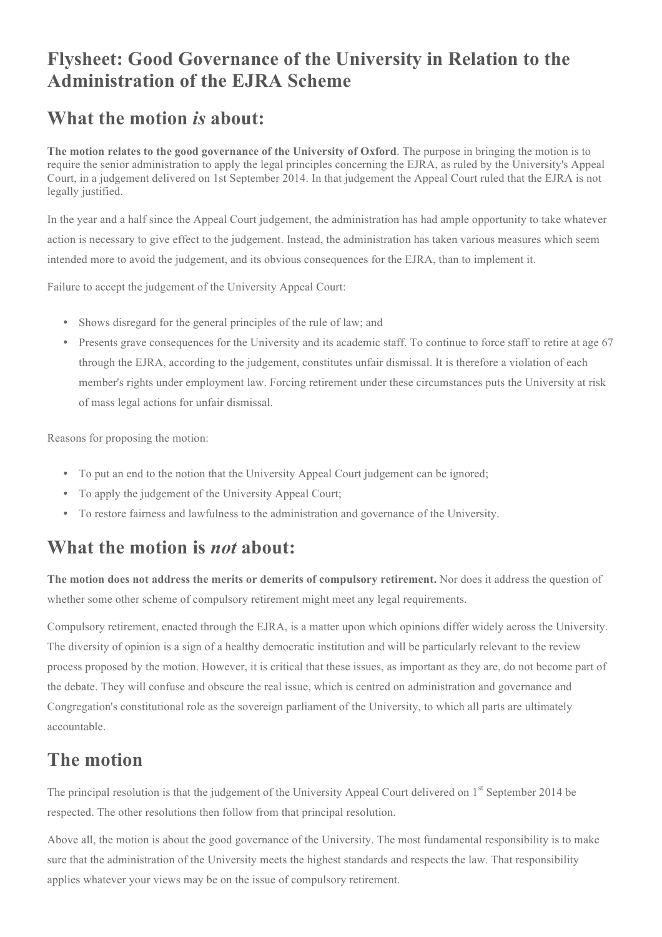## **Flysheet: Good Governance of the University in Relation to the Administration of the EJRA Scheme**

## **What the motion** *is* **about:**

**The motion relates to the good governance of the University of Oxford**. The purpose in bringing the motion is to require the senior administration to apply the legal principles concerning the EJRA, as ruled by the University's Appeal Court, in a judgement delivered on 1st September 2014. In that judgement the Appeal Court ruled that the EJRA is not legally justified.

In the year and a half since the Appeal Court judgement, the administration has had ample opportunity to take whatever action is necessary to give effect to the judgement. Instead, the administration has taken various measures which seem intended more to avoid the judgement, and its obvious consequences for the EJRA, than to implement it.

Failure to accept the judgement of the University Appeal Court:

- Shows disregard for the general principles of the rule of law; and
- Presents grave consequences for the University and its academic staff. To continue to force staff to retire at age 67 through the EJRA, according to the judgement, constitutes unfair dismissal. It is therefore a violation of each member's rights under employment law. Forcing retirement under these circumstances puts the University at risk of mass legal actions for unfair dismissal.

Reasons for proposing the motion:

- To put an end to the notion that the University Appeal Court judgement can be ignored;
- To apply the judgement of the University Appeal Court;
- To restore fairness and lawfulness to the administration and governance of the University.

## **What the motion is** *not* **about:**

**The motion does not address the merits or demerits of compulsory retirement.** Nor does it address the question of whether some other scheme of compulsory retirement might meet any legal requirements.

Compulsory retirement, enacted through the EJRA, is a matter upon which opinions differ widely across the University. The diversity of opinion is a sign of a healthy democratic institution and will be particularly relevant to the review process proposed by the motion. However, it is critical that these issues, as important as they are, do not become part of the debate. They will confuse and obscure the real issue, which is centred on administration and governance and Congregation's constitutional role as the sovereign parliament of the University, to which all parts are ultimately accountable.

## **The motion**

The principal resolution is that the judgement of the University Appeal Court delivered on 1<sup>st</sup> September 2014 be respected. The other resolutions then follow from that principal resolution.

Above all, the motion is about the good governance of the University. The most fundamental responsibility is to make sure that the administration of the University meets the highest standards and respects the law. That responsibility applies whatever your views may be on the issue of compulsory retirement.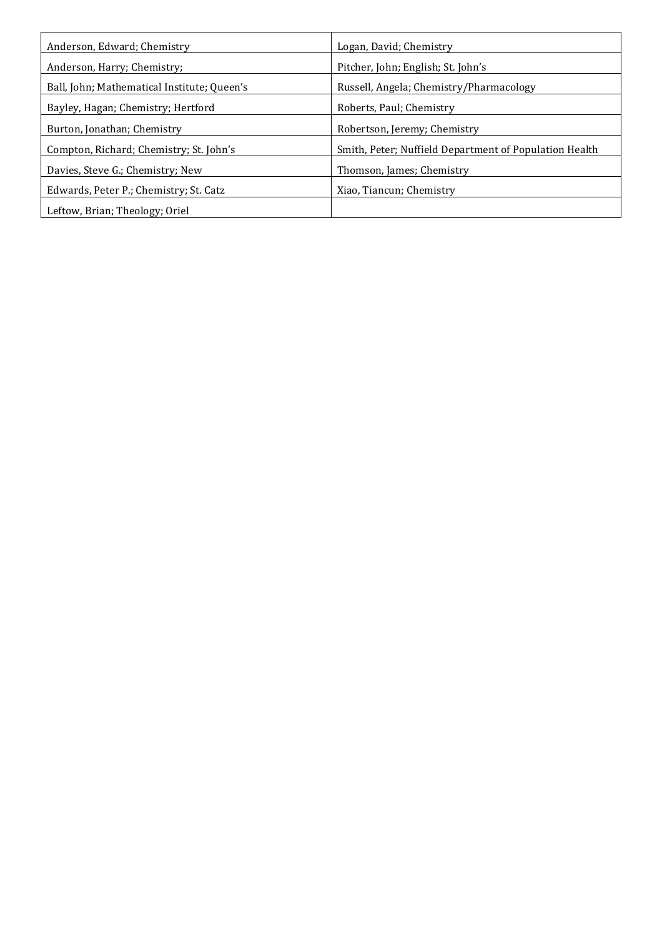| Anderson, Edward; Chemistry                 | Logan, David; Chemistry                                |
|---------------------------------------------|--------------------------------------------------------|
| Anderson, Harry; Chemistry;                 | Pitcher, John; English; St. John's                     |
| Ball, John; Mathematical Institute; Queen's | Russell, Angela; Chemistry/Pharmacology                |
| Bayley, Hagan; Chemistry; Hertford          | Roberts, Paul; Chemistry                               |
| Burton, Jonathan; Chemistry                 | Robertson, Jeremy; Chemistry                           |
| Compton, Richard; Chemistry; St. John's     | Smith, Peter; Nuffield Department of Population Health |
| Davies, Steve G.; Chemistry; New            | Thomson, James; Chemistry                              |
| Edwards, Peter P.; Chemistry; St. Catz      | Xiao, Tiancun; Chemistry                               |
| Leftow, Brian; Theology; Oriel              |                                                        |